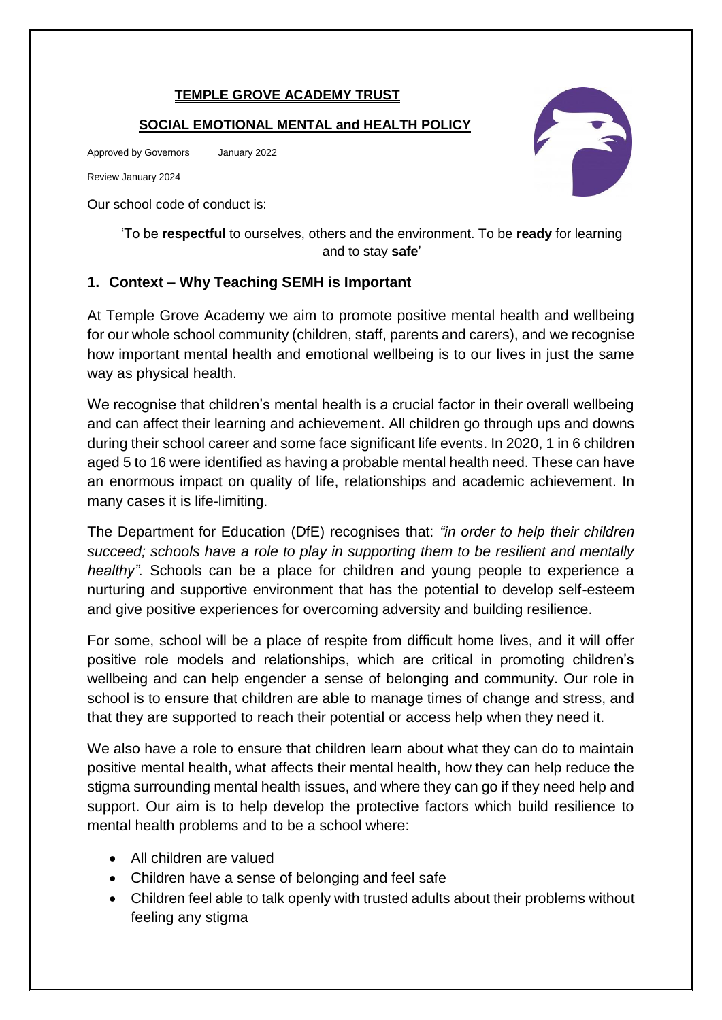#### **TEMPLE GROVE ACADEMY TRUST**

#### **SOCIAL EMOTIONAL MENTAL and HEALTH POLICY**

Approved by Governors January 2022

Review January 2024

Our school code of conduct is:

'To be **respectful** to ourselves, others and the environment. To be **ready** for learning and to stay **safe**'

#### **1. Context – Why Teaching SEMH is Important**

At Temple Grove Academy we aim to promote positive mental health and wellbeing for our whole school community (children, staff, parents and carers), and we recognise how important mental health and emotional wellbeing is to our lives in just the same way as physical health.

We recognise that children's mental health is a crucial factor in their overall wellbeing and can affect their learning and achievement. All children go through ups and downs during their school career and some face significant life events. In 2020, 1 in 6 children aged 5 to 16 were identified as having a probable mental health need. These can have an enormous impact on quality of life, relationships and academic achievement. In many cases it is life-limiting.

The Department for Education (DfE) recognises that: *"in order to help their children succeed; schools have a role to play in supporting them to be resilient and mentally healthy".* Schools can be a place for children and young people to experience a nurturing and supportive environment that has the potential to develop self-esteem and give positive experiences for overcoming adversity and building resilience.

For some, school will be a place of respite from difficult home lives, and it will offer positive role models and relationships, which are critical in promoting children's wellbeing and can help engender a sense of belonging and community. Our role in school is to ensure that children are able to manage times of change and stress, and that they are supported to reach their potential or access help when they need it.

We also have a role to ensure that children learn about what they can do to maintain positive mental health, what affects their mental health, how they can help reduce the stigma surrounding mental health issues, and where they can go if they need help and support. Our aim is to help develop the protective factors which build resilience to mental health problems and to be a school where:

- All children are valued
- Children have a sense of belonging and feel safe
- Children feel able to talk openly with trusted adults about their problems without feeling any stigma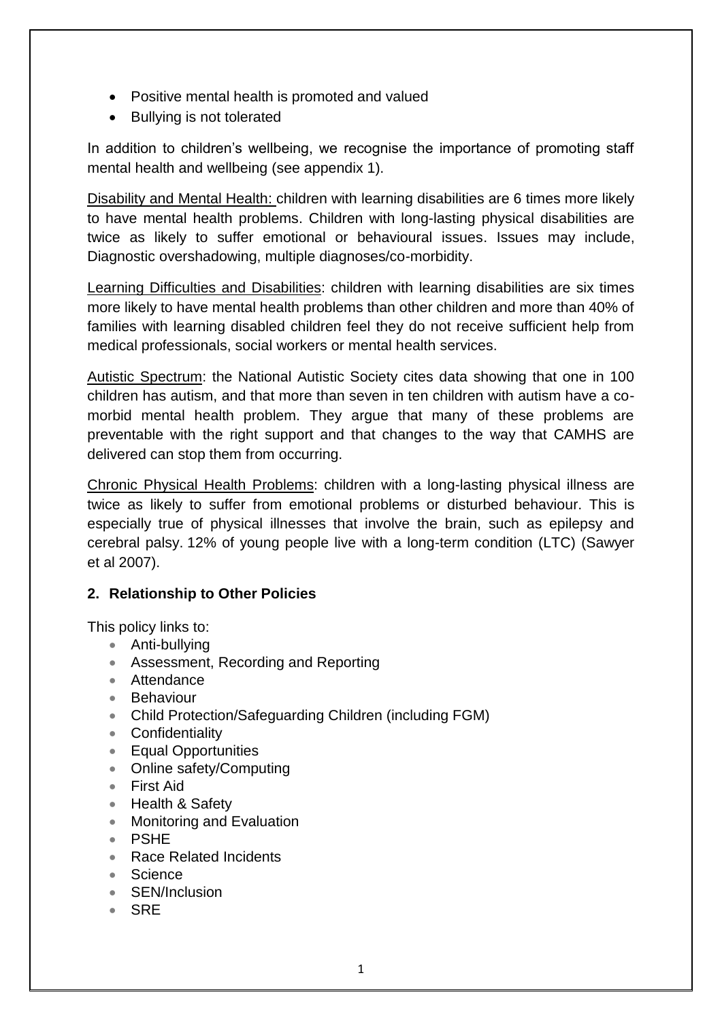- Positive mental health is promoted and valued
- Bullying is not tolerated

In addition to children's wellbeing, we recognise the importance of promoting staff mental health and wellbeing (see appendix 1).

Disability and Mental Health: children with learning disabilities are 6 times more likely to have mental health problems. Children with long-lasting physical disabilities are twice as likely to suffer emotional or behavioural issues. Issues may include, Diagnostic overshadowing, multiple diagnoses/co-morbidity.

Learning Difficulties and Disabilities: children with learning disabilities are six times more likely to have mental health problems than other children and more than 40% of families with learning disabled children feel they do not receive sufficient help from medical professionals, social workers or mental health services.

Autistic Spectrum: the National Autistic Society cites data showing that one in 100 children has autism, and that more than seven in ten children with autism have a comorbid mental health problem. They argue that many of these problems are preventable with the right support and that changes to the way that CAMHS are delivered can stop them from occurring.

Chronic Physical Health Problems: children with a long-lasting physical illness are twice as likely to suffer from emotional problems or disturbed behaviour. This is especially true of physical illnesses that involve the brain, such as epilepsy and cerebral palsy. 12% of young people live with a long-term condition (LTC) (Sawyer et al 2007).

# **2. Relationship to Other Policies**

This policy links to:

- Anti-bullying
- Assessment, Recording and Reporting
- Attendance
- Behaviour
- Child Protection/Safeguarding Children (including FGM)
- Confidentiality
- **Equal Opportunities**
- Online safety/Computing
- First Aid
- Health & Safety
- Monitoring and Evaluation
- PSHE
- Race Related Incidents
- Science
- SEN/Inclusion
- $\cdot$  SRF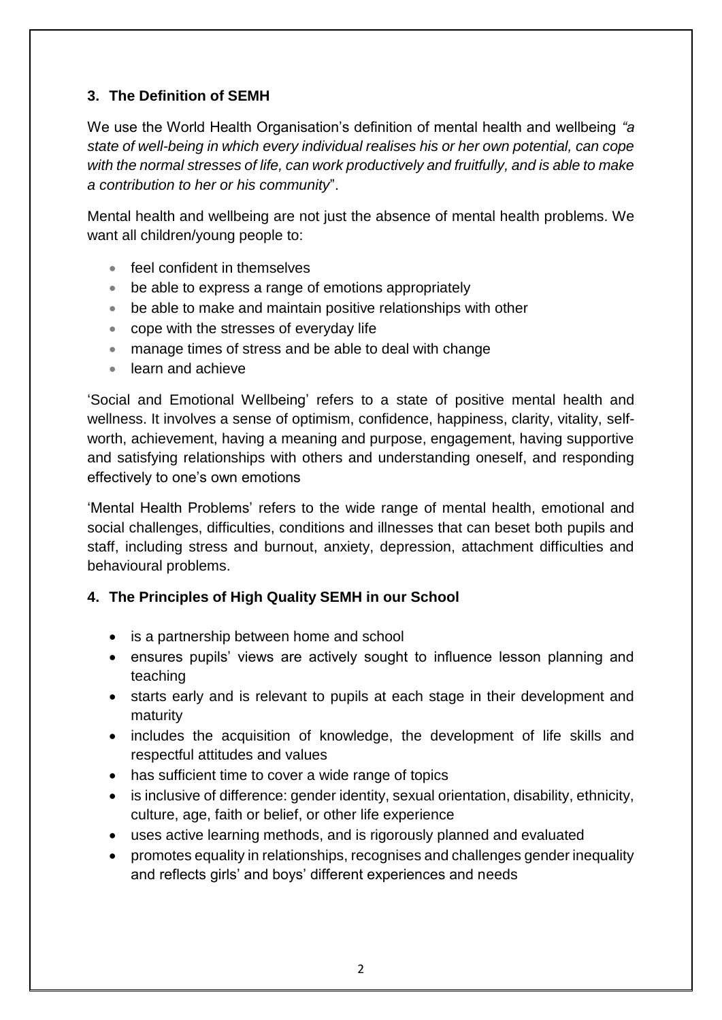# **3. The Definition of SEMH**

We use the World Health Organisation's definition of mental health and wellbeing *"a state of well-being in which every individual realises his or her own potential, can cope with the normal stresses of life, can work productively and fruitfully, and is able to make a contribution to her or his community*".

Mental health and wellbeing are not just the absence of mental health problems. We want all children/young people to:

- feel confident in themselves
- be able to express a range of emotions appropriately
- be able to make and maintain positive relationships with other
- cope with the stresses of everyday life
- manage times of stress and be able to deal with change
- **•** learn and achieve

'Social and Emotional Wellbeing' refers to a state of positive mental health and wellness. It involves a sense of optimism, confidence, happiness, clarity, vitality, selfworth, achievement, having a meaning and purpose, engagement, having supportive and satisfying relationships with others and understanding oneself, and responding effectively to one's own emotions

'Mental Health Problems' refers to the wide range of mental health, emotional and social challenges, difficulties, conditions and illnesses that can beset both pupils and staff, including stress and burnout, anxiety, depression, attachment difficulties and behavioural problems.

### **4. The Principles of High Quality SEMH in our School**

- is a partnership between home and school
- ensures pupils' views are actively sought to influence lesson planning and teaching
- starts early and is relevant to pupils at each stage in their development and maturity
- includes the acquisition of knowledge, the development of life skills and respectful attitudes and values
- has sufficient time to cover a wide range of topics
- is inclusive of difference: gender identity, sexual orientation, disability, ethnicity, culture, age, faith or belief, or other life experience
- uses active learning methods, and is rigorously planned and evaluated
- promotes equality in relationships, recognises and challenges gender inequality and reflects girls' and boys' different experiences and needs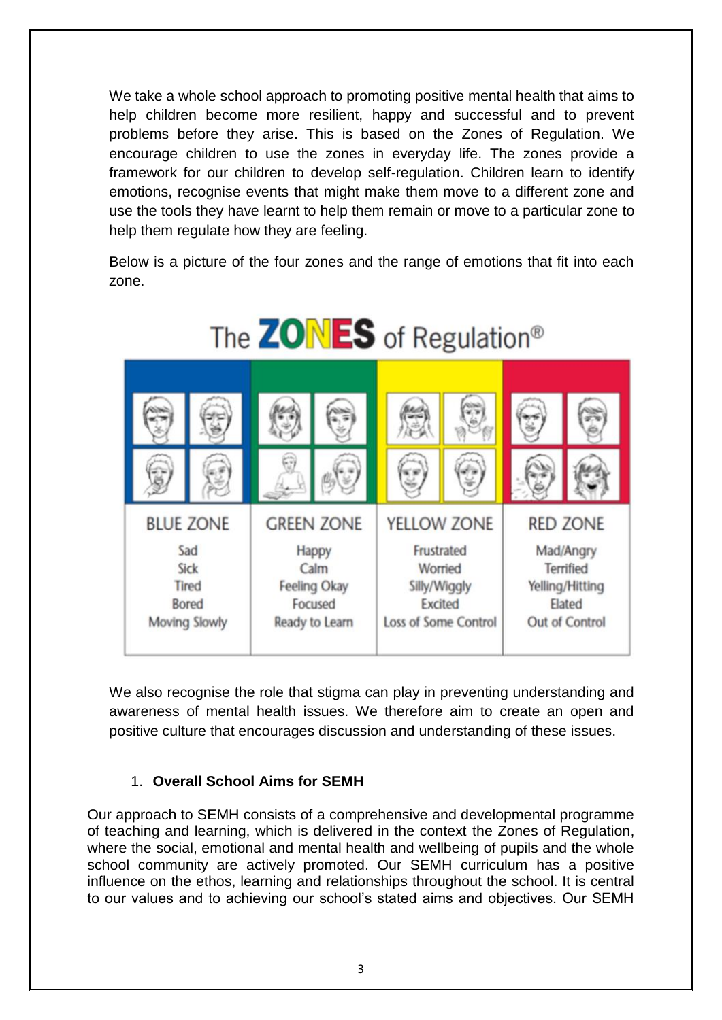We take a whole school approach to promoting positive mental health that aims to help children become more resilient, happy and successful and to prevent problems before they arise. This is based on the Zones of Regulation. We encourage children to use the zones in everyday life. The zones provide a framework for our children to develop self-regulation. Children learn to identify emotions, recognise events that might make them move to a different zone and use the tools they have learnt to help them remain or move to a particular zone to help them regulate how they are feeling.

Below is a picture of the four zones and the range of emotions that fit into each zone.



We also recognise the role that stigma can play in preventing understanding and awareness of mental health issues. We therefore aim to create an open and positive culture that encourages discussion and understanding of these issues.

### 1. **Overall School Aims for SEMH**

Our approach to SEMH consists of a comprehensive and developmental programme of teaching and learning, which is delivered in the context the Zones of Regulation, where the social, emotional and mental health and wellbeing of pupils and the whole school community are actively promoted. Our SEMH curriculum has a positive influence on the ethos, learning and relationships throughout the school. It is central to our values and to achieving our school's stated aims and objectives. Our SEMH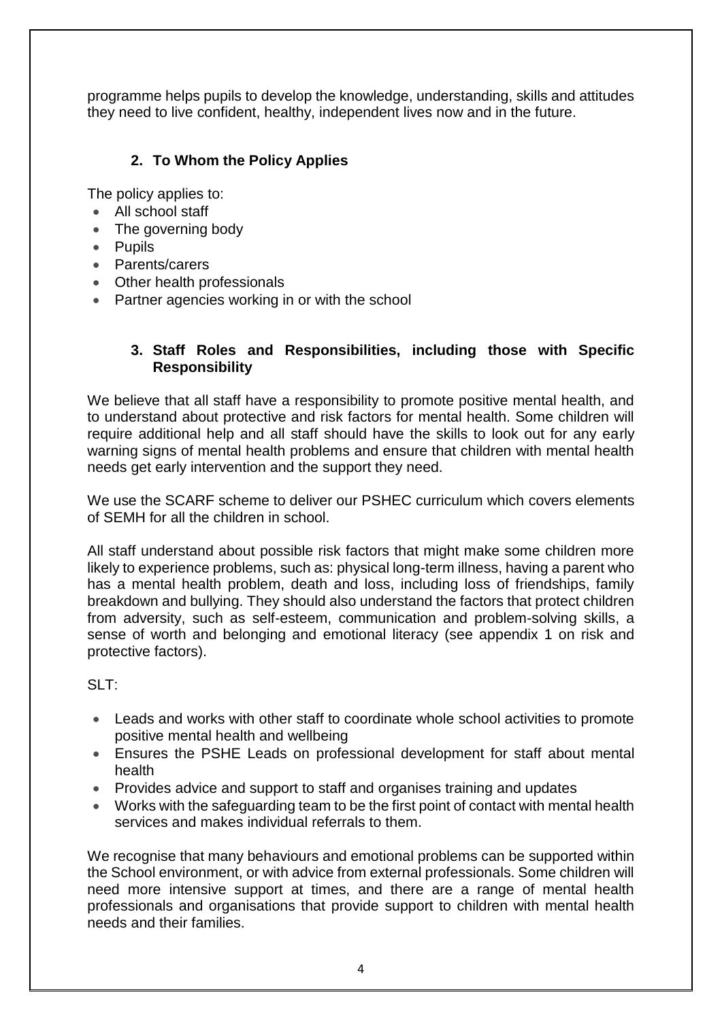programme helps pupils to develop the knowledge, understanding, skills and attitudes they need to live confident, healthy, independent lives now and in the future.

# **2. To Whom the Policy Applies**

The policy applies to:

- All school staff
- The governing body
- Pupils
- Parents/carers
- Other health professionals
- Partner agencies working in or with the school

### **3. Staff Roles and Responsibilities, including those with Specific Responsibility**

We believe that all staff have a responsibility to promote positive mental health, and to understand about protective and risk factors for mental health. Some children will require additional help and all staff should have the skills to look out for any early warning signs of mental health problems and ensure that children with mental health needs get early intervention and the support they need.

We use the SCARF scheme to deliver our PSHEC curriculum which covers elements of SEMH for all the children in school.

All staff understand about possible risk factors that might make some children more likely to experience problems, such as: physical long-term illness, having a parent who has a mental health problem, death and loss, including loss of friendships, family breakdown and bullying. They should also understand the factors that protect children from adversity, such as self-esteem, communication and problem-solving skills, a sense of worth and belonging and emotional literacy (see appendix 1 on risk and protective factors).

 $SIT^T$ 

- Leads and works with other staff to coordinate whole school activities to promote positive mental health and wellbeing
- Ensures the PSHE Leads on professional development for staff about mental health
- Provides advice and support to staff and organises training and updates
- Works with the safeguarding team to be the first point of contact with mental health services and makes individual referrals to them.

We recognise that many behaviours and emotional problems can be supported within the School environment, or with advice from external professionals. Some children will need more intensive support at times, and there are a range of mental health professionals and organisations that provide support to children with mental health needs and their families.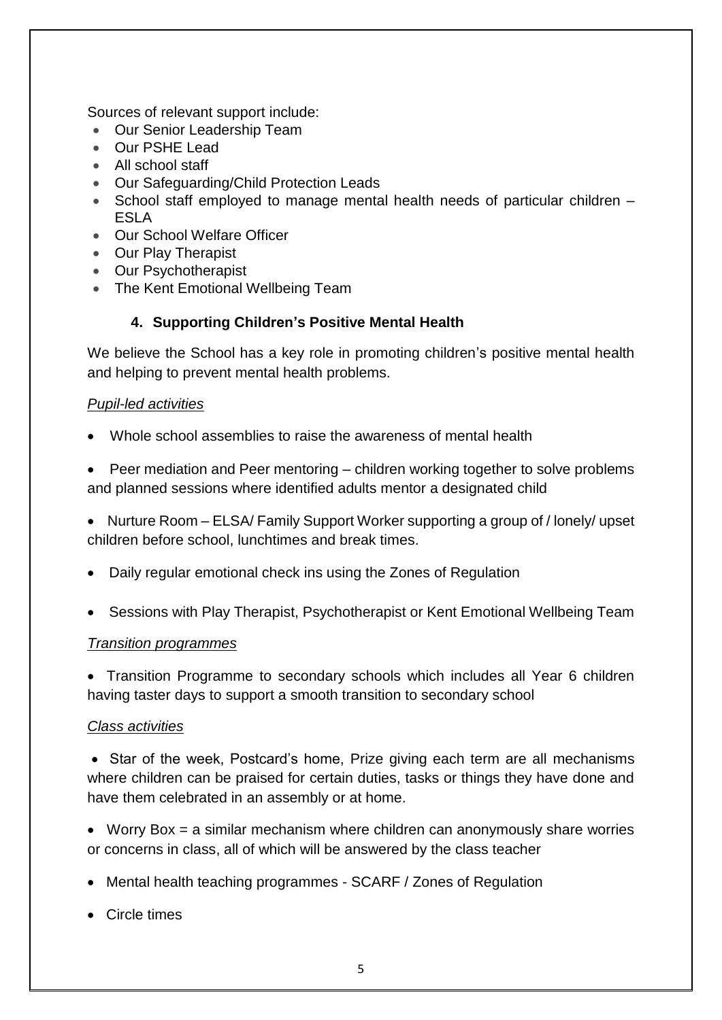Sources of relevant support include:

- Our Senior Leadership Team
- Our PSHE Lead
- All school staff
- Our Safeguarding/Child Protection Leads
- School staff employed to manage mental health needs of particular children ESLA
- Our School Welfare Officer
- Our Play Therapist
- Our Psychotherapist
- The Kent Emotional Wellbeing Team

## **4. Supporting Children's Positive Mental Health**

We believe the School has a key role in promoting children's positive mental health and helping to prevent mental health problems.

### *Pupil-led activities*

- Whole school assemblies to raise the awareness of mental health
- Peer mediation and Peer mentoring children working together to solve problems and planned sessions where identified adults mentor a designated child
- Nurture Room ELSA/ Family Support Worker supporting a group of / lonely/ upset children before school, lunchtimes and break times.
- Daily regular emotional check ins using the Zones of Regulation
- Sessions with Play Therapist, Psychotherapist or Kent Emotional Wellbeing Team

#### *Transition programmes*

• Transition Programme to secondary schools which includes all Year 6 children having taster days to support a smooth transition to secondary school

### *Class activities*

• Star of the week, Postcard's home, Prize giving each term are all mechanisms where children can be praised for certain duties, tasks or things they have done and have them celebrated in an assembly or at home.

 Worry Box = a similar mechanism where children can anonymously share worries or concerns in class, all of which will be answered by the class teacher

- Mental health teaching programmes SCARF / Zones of Regulation
- Circle times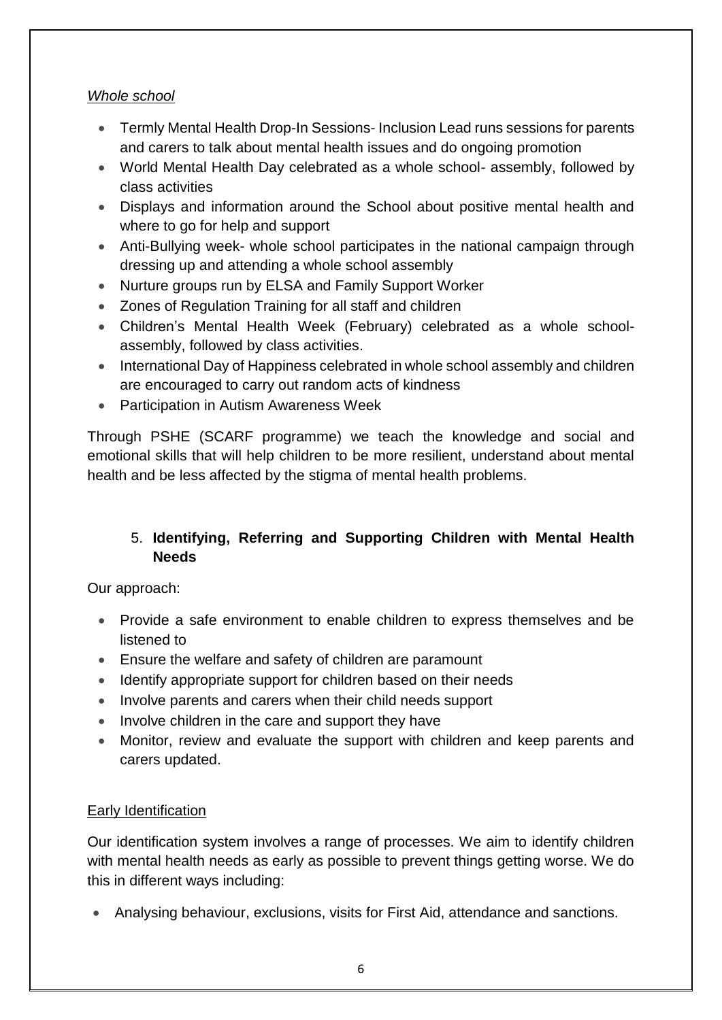## *Whole school*

- Termly Mental Health Drop-In Sessions- Inclusion Lead runs sessions for parents and carers to talk about mental health issues and do ongoing promotion
- World Mental Health Day celebrated as a whole school- assembly, followed by class activities
- Displays and information around the School about positive mental health and where to go for help and support
- Anti-Bullying week- whole school participates in the national campaign through dressing up and attending a whole school assembly
- Nurture groups run by ELSA and Family Support Worker
- Zones of Regulation Training for all staff and children
- Children's Mental Health Week (February) celebrated as a whole schoolassembly, followed by class activities.
- International Day of Happiness celebrated in whole school assembly and children are encouraged to carry out random acts of kindness
- Participation in Autism Awareness Week

Through PSHE (SCARF programme) we teach the knowledge and social and emotional skills that will help children to be more resilient, understand about mental health and be less affected by the stigma of mental health problems.

# 5. **Identifying, Referring and Supporting Children with Mental Health Needs**

Our approach:

- Provide a safe environment to enable children to express themselves and be listened to
- Ensure the welfare and safety of children are paramount
- Identify appropriate support for children based on their needs
- Involve parents and carers when their child needs support
- Involve children in the care and support they have
- Monitor, review and evaluate the support with children and keep parents and carers updated.

# Early Identification

Our identification system involves a range of processes. We aim to identify children with mental health needs as early as possible to prevent things getting worse. We do this in different ways including:

Analysing behaviour, exclusions, visits for First Aid, attendance and sanctions.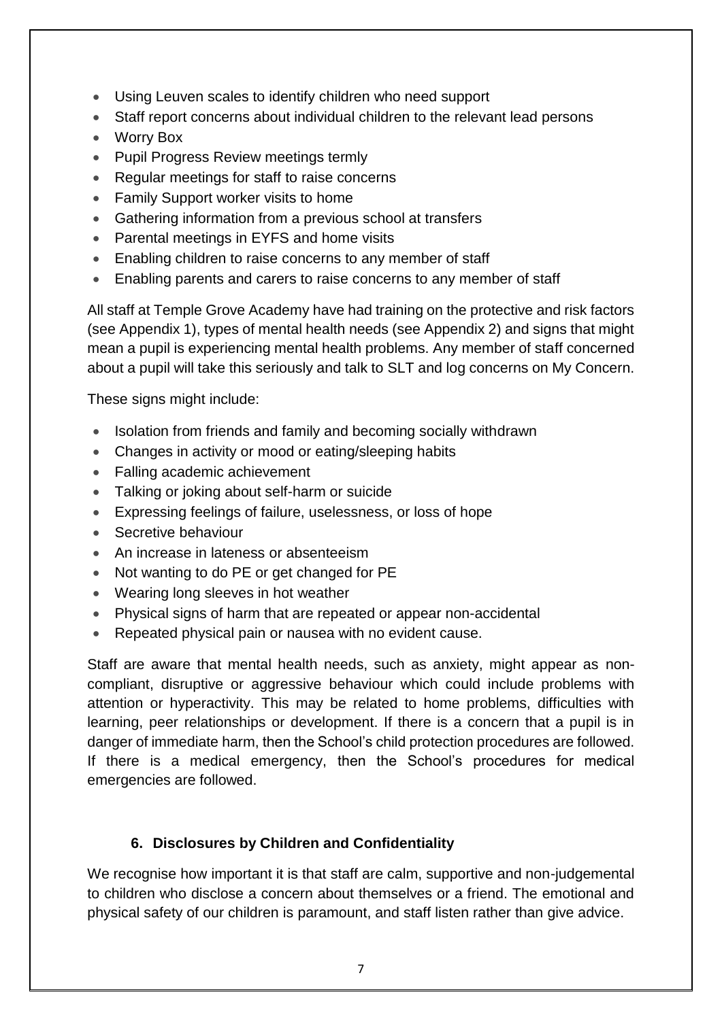- Using Leuven scales to identify children who need support
- Staff report concerns about individual children to the relevant lead persons
- Worry Box
- Pupil Progress Review meetings termly
- Regular meetings for staff to raise concerns
- Family Support worker visits to home
- Gathering information from a previous school at transfers
- Parental meetings in EYFS and home visits
- Enabling children to raise concerns to any member of staff
- Enabling parents and carers to raise concerns to any member of staff

All staff at Temple Grove Academy have had training on the protective and risk factors (see Appendix 1), types of mental health needs (see Appendix 2) and signs that might mean a pupil is experiencing mental health problems. Any member of staff concerned about a pupil will take this seriously and talk to SLT and log concerns on My Concern.

These signs might include:

- Isolation from friends and family and becoming socially withdrawn
- Changes in activity or mood or eating/sleeping habits
- Falling academic achievement
- Talking or joking about self-harm or suicide
- Expressing feelings of failure, uselessness, or loss of hope
- Secretive behaviour
- An increase in lateness or absenteeism
- Not wanting to do PE or get changed for PE
- Wearing long sleeves in hot weather
- Physical signs of harm that are repeated or appear non-accidental
- Repeated physical pain or nausea with no evident cause.

Staff are aware that mental health needs, such as anxiety, might appear as noncompliant, disruptive or aggressive behaviour which could include problems with attention or hyperactivity. This may be related to home problems, difficulties with learning, peer relationships or development. If there is a concern that a pupil is in danger of immediate harm, then the School's child protection procedures are followed. If there is a medical emergency, then the School's procedures for medical emergencies are followed.

# **6. Disclosures by Children and Confidentiality**

We recognise how important it is that staff are calm, supportive and non-judgemental to children who disclose a concern about themselves or a friend. The emotional and physical safety of our children is paramount, and staff listen rather than give advice.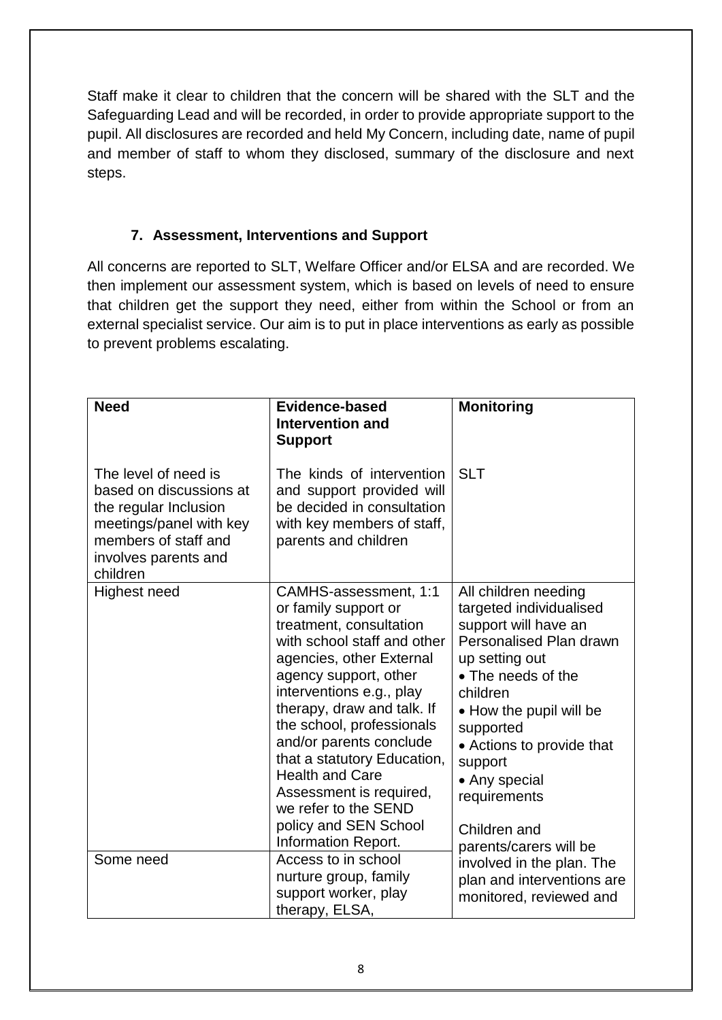Staff make it clear to children that the concern will be shared with the SLT and the Safeguarding Lead and will be recorded, in order to provide appropriate support to the pupil. All disclosures are recorded and held My Concern, including date, name of pupil and member of staff to whom they disclosed, summary of the disclosure and next steps.

# **7. Assessment, Interventions and Support**

All concerns are reported to SLT, Welfare Officer and/or ELSA and are recorded. We then implement our assessment system, which is based on levels of need to ensure that children get the support they need, either from within the School or from an external specialist service. Our aim is to put in place interventions as early as possible to prevent problems escalating.

| <b>Need</b>                                                                                                                                                     | <b>Evidence-based</b><br>Intervention and<br><b>Support</b>                                                                                                                                                                                                                                                                                                                                                                                | <b>Monitoring</b>                                                                                                                                                                                                                                                                                                 |
|-----------------------------------------------------------------------------------------------------------------------------------------------------------------|--------------------------------------------------------------------------------------------------------------------------------------------------------------------------------------------------------------------------------------------------------------------------------------------------------------------------------------------------------------------------------------------------------------------------------------------|-------------------------------------------------------------------------------------------------------------------------------------------------------------------------------------------------------------------------------------------------------------------------------------------------------------------|
| The level of need is<br>based on discussions at<br>the regular Inclusion<br>meetings/panel with key<br>members of staff and<br>involves parents and<br>children | The kinds of intervention<br>and support provided will<br>be decided in consultation<br>with key members of staff,<br>parents and children                                                                                                                                                                                                                                                                                                 | <b>SLT</b>                                                                                                                                                                                                                                                                                                        |
| <b>Highest need</b>                                                                                                                                             | CAMHS-assessment, 1:1<br>or family support or<br>treatment, consultation<br>with school staff and other<br>agencies, other External<br>agency support, other<br>interventions e.g., play<br>therapy, draw and talk. If<br>the school, professionals<br>and/or parents conclude<br>that a statutory Education,<br><b>Health and Care</b><br>Assessment is required,<br>we refer to the SEND<br>policy and SEN School<br>Information Report. | All children needing<br>targeted individualised<br>support will have an<br>Personalised Plan drawn<br>up setting out<br>• The needs of the<br>children<br>• How the pupil will be<br>supported<br>• Actions to provide that<br>support<br>• Any special<br>requirements<br>Children and<br>parents/carers will be |
| Some need                                                                                                                                                       | Access to in school<br>nurture group, family<br>support worker, play<br>therapy, ELSA,                                                                                                                                                                                                                                                                                                                                                     | involved in the plan. The<br>plan and interventions are<br>monitored, reviewed and                                                                                                                                                                                                                                |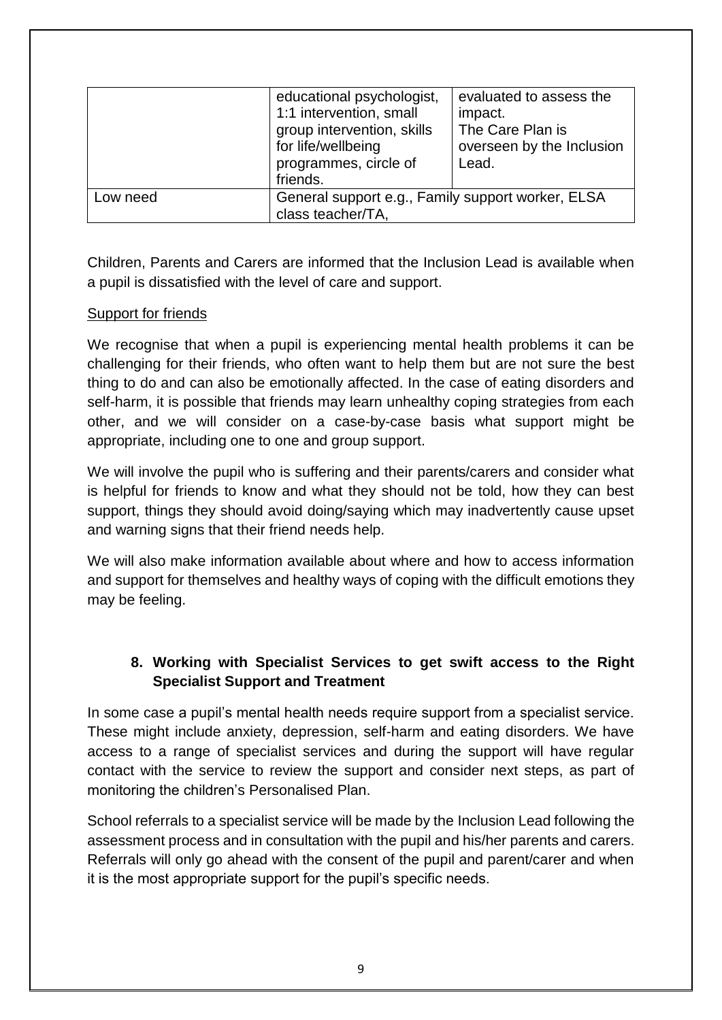|          | educational psychologist,                         | evaluated to assess the   |
|----------|---------------------------------------------------|---------------------------|
|          | 1:1 intervention, small                           | impact.                   |
|          | group intervention, skills                        | The Care Plan is          |
|          | for life/wellbeing                                | overseen by the Inclusion |
|          | programmes, circle of                             | Lead.                     |
|          | friends.                                          |                           |
| Low need | General support e.g., Family support worker, ELSA |                           |
|          | class teacher/TA,                                 |                           |

Children, Parents and Carers are informed that the Inclusion Lead is available when a pupil is dissatisfied with the level of care and support.

### Support for friends

We recognise that when a pupil is experiencing mental health problems it can be challenging for their friends, who often want to help them but are not sure the best thing to do and can also be emotionally affected. In the case of eating disorders and self-harm, it is possible that friends may learn unhealthy coping strategies from each other, and we will consider on a case-by-case basis what support might be appropriate, including one to one and group support.

We will involve the pupil who is suffering and their parents/carers and consider what is helpful for friends to know and what they should not be told, how they can best support, things they should avoid doing/saying which may inadvertently cause upset and warning signs that their friend needs help.

We will also make information available about where and how to access information and support for themselves and healthy ways of coping with the difficult emotions they may be feeling.

## **8. Working with Specialist Services to get swift access to the Right Specialist Support and Treatment**

In some case a pupil's mental health needs require support from a specialist service. These might include anxiety, depression, self-harm and eating disorders. We have access to a range of specialist services and during the support will have regular contact with the service to review the support and consider next steps, as part of monitoring the children's Personalised Plan.

School referrals to a specialist service will be made by the Inclusion Lead following the assessment process and in consultation with the pupil and his/her parents and carers. Referrals will only go ahead with the consent of the pupil and parent/carer and when it is the most appropriate support for the pupil's specific needs.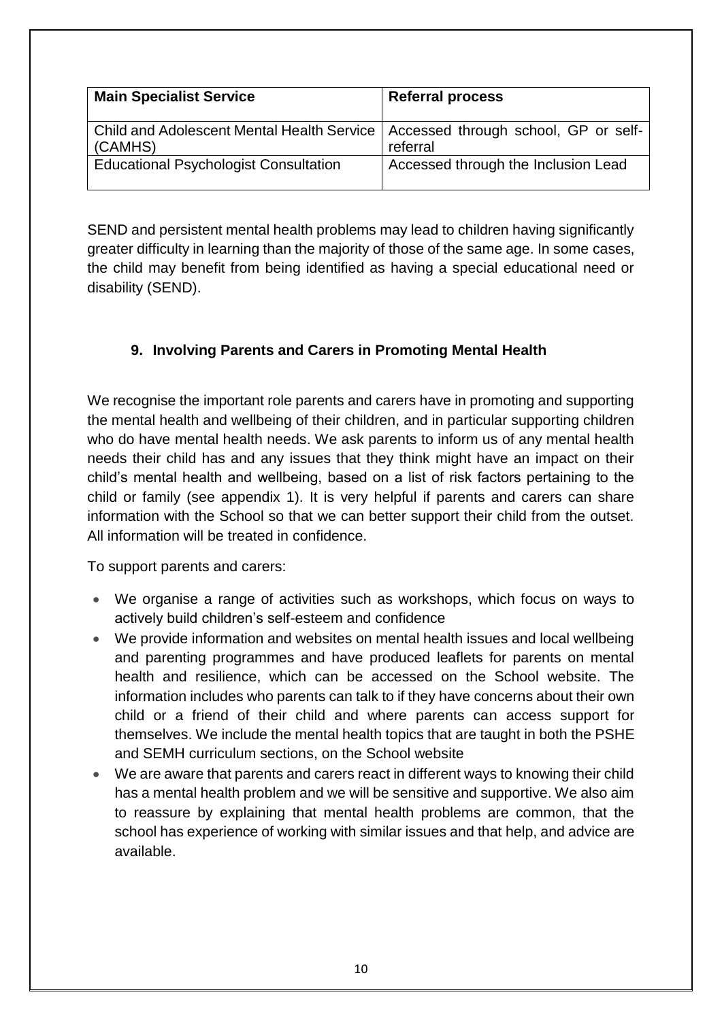| <b>Main Specialist Service</b>                                                               | <b>Referral process</b>             |
|----------------------------------------------------------------------------------------------|-------------------------------------|
| Child and Adolescent Mental Health Service   Accessed through school, GP or self-<br>(CAMHS) | referral                            |
| <b>Educational Psychologist Consultation</b>                                                 | Accessed through the Inclusion Lead |

SEND and persistent mental health problems may lead to children having significantly greater difficulty in learning than the majority of those of the same age. In some cases, the child may benefit from being identified as having a special educational need or disability (SEND).

# **9. Involving Parents and Carers in Promoting Mental Health**

We recognise the important role parents and carers have in promoting and supporting the mental health and wellbeing of their children, and in particular supporting children who do have mental health needs. We ask parents to inform us of any mental health needs their child has and any issues that they think might have an impact on their child's mental health and wellbeing, based on a list of risk factors pertaining to the child or family (see appendix 1). It is very helpful if parents and carers can share information with the School so that we can better support their child from the outset. All information will be treated in confidence.

To support parents and carers:

- We organise a range of activities such as workshops, which focus on ways to actively build children's self-esteem and confidence
- We provide information and websites on mental health issues and local wellbeing and parenting programmes and have produced leaflets for parents on mental health and resilience, which can be accessed on the School website. The information includes who parents can talk to if they have concerns about their own child or a friend of their child and where parents can access support for themselves. We include the mental health topics that are taught in both the PSHE and SEMH curriculum sections, on the School website
- We are aware that parents and carers react in different ways to knowing their child has a mental health problem and we will be sensitive and supportive. We also aim to reassure by explaining that mental health problems are common, that the school has experience of working with similar issues and that help, and advice are available.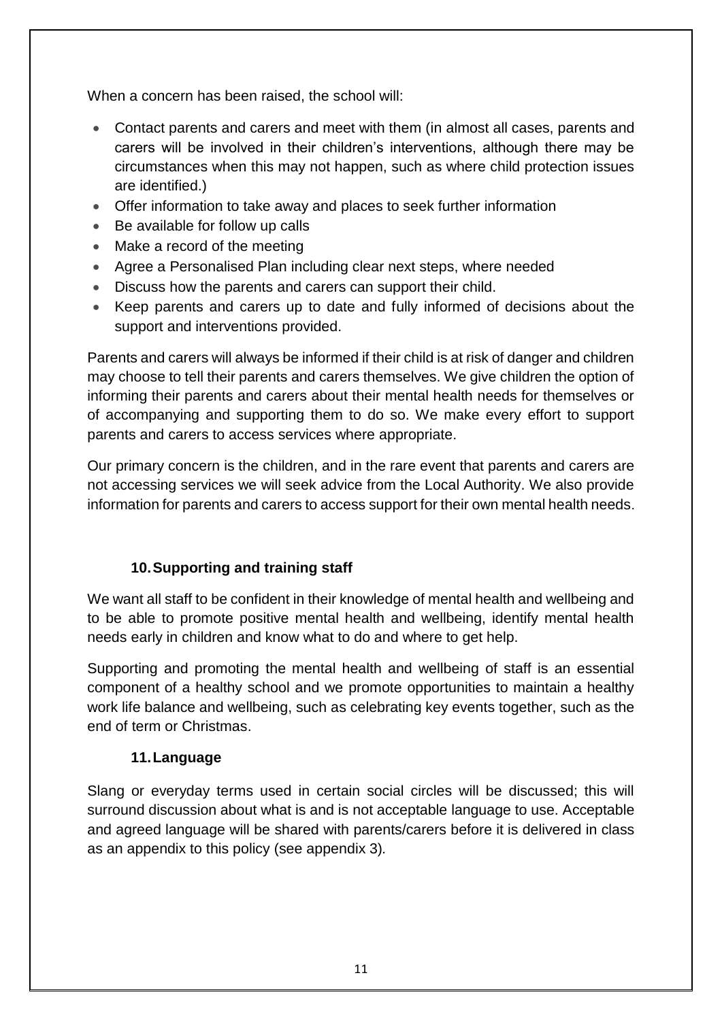When a concern has been raised, the school will:

- Contact parents and carers and meet with them (in almost all cases, parents and carers will be involved in their children's interventions, although there may be circumstances when this may not happen, such as where child protection issues are identified.)
- Offer information to take away and places to seek further information
- Be available for follow up calls
- Make a record of the meeting
- Agree a Personalised Plan including clear next steps, where needed
- Discuss how the parents and carers can support their child.
- Keep parents and carers up to date and fully informed of decisions about the support and interventions provided.

Parents and carers will always be informed if their child is at risk of danger and children may choose to tell their parents and carers themselves. We give children the option of informing their parents and carers about their mental health needs for themselves or of accompanying and supporting them to do so. We make every effort to support parents and carers to access services where appropriate.

Our primary concern is the children, and in the rare event that parents and carers are not accessing services we will seek advice from the Local Authority. We also provide information for parents and carers to access support for their own mental health needs.

# **10.Supporting and training staff**

We want all staff to be confident in their knowledge of mental health and wellbeing and to be able to promote positive mental health and wellbeing, identify mental health needs early in children and know what to do and where to get help.

Supporting and promoting the mental health and wellbeing of staff is an essential component of a healthy school and we promote opportunities to maintain a healthy work life balance and wellbeing, such as celebrating key events together, such as the end of term or Christmas.

### **11.Language**

Slang or everyday terms used in certain social circles will be discussed; this will surround discussion about what is and is not acceptable language to use. Acceptable and agreed language will be shared with parents/carers before it is delivered in class as an appendix to this policy (see appendix 3)*.*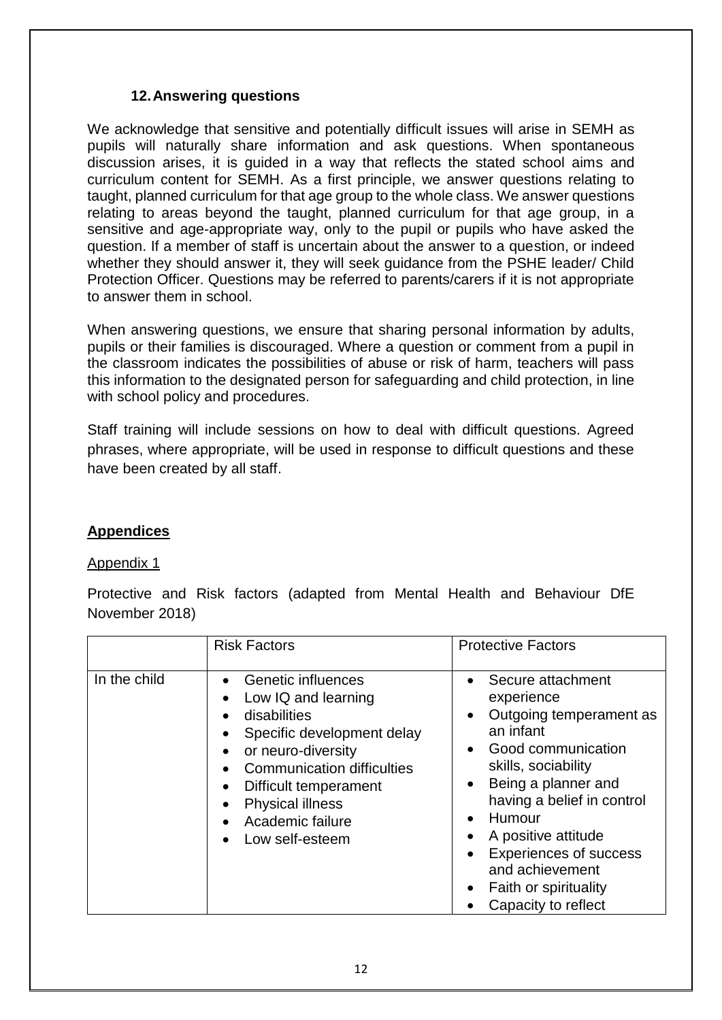### **12.Answering questions**

We acknowledge that sensitive and potentially difficult issues will arise in SEMH as pupils will naturally share information and ask questions. When spontaneous discussion arises, it is guided in a way that reflects the stated school aims and curriculum content for SEMH. As a first principle, we answer questions relating to taught, planned curriculum for that age group to the whole class. We answer questions relating to areas beyond the taught, planned curriculum for that age group, in a sensitive and age-appropriate way, only to the pupil or pupils who have asked the question. If a member of staff is uncertain about the answer to a question, or indeed whether they should answer it, they will seek guidance from the PSHE leader/ Child Protection Officer. Questions may be referred to parents/carers if it is not appropriate to answer them in school.

When answering questions, we ensure that sharing personal information by adults, pupils or their families is discouraged. Where a question or comment from a pupil in the classroom indicates the possibilities of abuse or risk of harm, teachers will pass this information to the designated person for safeguarding and child protection, in line with school policy and procedures.

Staff training will include sessions on how to deal with difficult questions. Agreed phrases, where appropriate, will be used in response to difficult questions and these have been created by all staff.

### **Appendices**

#### Appendix 1

Protective and Risk factors (adapted from Mental Health and Behaviour DfE November 2018)

|              | <b>Risk Factors</b>                                                                                                                                                                                                                                        | <b>Protective Factors</b>                                                                                                                                                                                                                                                                                                                                                                                 |
|--------------|------------------------------------------------------------------------------------------------------------------------------------------------------------------------------------------------------------------------------------------------------------|-----------------------------------------------------------------------------------------------------------------------------------------------------------------------------------------------------------------------------------------------------------------------------------------------------------------------------------------------------------------------------------------------------------|
| In the child | Genetic influences<br>$\bullet$<br>Low IQ and learning<br>disabilities<br>Specific development delay<br>or neuro-diversity<br><b>Communication difficulties</b><br>Difficult temperament<br><b>Physical illness</b><br>Academic failure<br>Low self-esteem | Secure attachment<br>$\bullet$<br>experience<br>Outgoing temperament as<br>$\bullet$<br>an infant<br>Good communication<br>$\bullet$<br>skills, sociability<br>Being a planner and<br>$\bullet$<br>having a belief in control<br>Humour<br>$\bullet$<br>A positive attitude<br>$\bullet$<br><b>Experiences of success</b><br>$\bullet$<br>and achievement<br>Faith or spirituality<br>Capacity to reflect |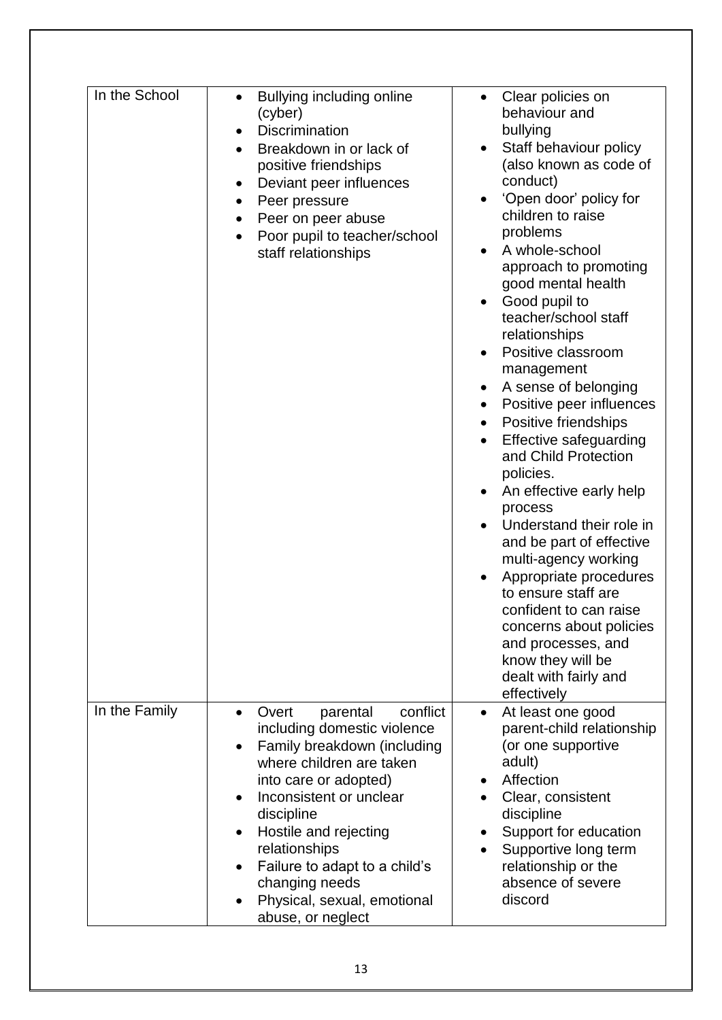| In the School | Bullying including online<br>(cyber)<br><b>Discrimination</b><br>$\bullet$<br>Breakdown in or lack of<br>$\bullet$<br>positive friendships<br>Deviant peer influences<br>$\bullet$<br>Peer pressure<br>٠<br>Peer on peer abuse<br>٠<br>Poor pupil to teacher/school<br>staff relationships                                                                                                     | Clear policies on<br>behaviour and<br>bullying<br>Staff behaviour policy<br>(also known as code of<br>conduct)<br>'Open door' policy for<br>children to raise<br>problems<br>A whole-school<br>approach to promoting<br>good mental health<br>Good pupil to<br>teacher/school staff<br>relationships<br>Positive classroom<br>management<br>A sense of belonging<br>Positive peer influences<br>$\bullet$<br>Positive friendships<br>$\bullet$<br><b>Effective safeguarding</b><br>and Child Protection<br>policies.<br>An effective early help<br>process<br>Understand their role in<br>and be part of effective<br>multi-agency working<br>Appropriate procedures<br>to ensure staff are<br>confident to can raise |
|---------------|------------------------------------------------------------------------------------------------------------------------------------------------------------------------------------------------------------------------------------------------------------------------------------------------------------------------------------------------------------------------------------------------|-----------------------------------------------------------------------------------------------------------------------------------------------------------------------------------------------------------------------------------------------------------------------------------------------------------------------------------------------------------------------------------------------------------------------------------------------------------------------------------------------------------------------------------------------------------------------------------------------------------------------------------------------------------------------------------------------------------------------|
|               |                                                                                                                                                                                                                                                                                                                                                                                                | concerns about policies<br>and processes, and<br>know they will be<br>dealt with fairly and<br>effectively                                                                                                                                                                                                                                                                                                                                                                                                                                                                                                                                                                                                            |
| In the Family | conflict<br>parental<br>Overt<br>$\bullet$<br>including domestic violence<br>Family breakdown (including<br>$\bullet$<br>where children are taken<br>into care or adopted)<br>Inconsistent or unclear<br>$\bullet$<br>discipline<br>Hostile and rejecting<br>relationships<br>Failure to adapt to a child's<br>$\bullet$<br>changing needs<br>Physical, sexual, emotional<br>abuse, or neglect | At least one good<br>$\bullet$<br>parent-child relationship<br>(or one supportive<br>adult)<br>Affection<br>Clear, consistent<br>discipline<br>Support for education<br>Supportive long term<br>$\bullet$<br>relationship or the<br>absence of severe<br>discord                                                                                                                                                                                                                                                                                                                                                                                                                                                      |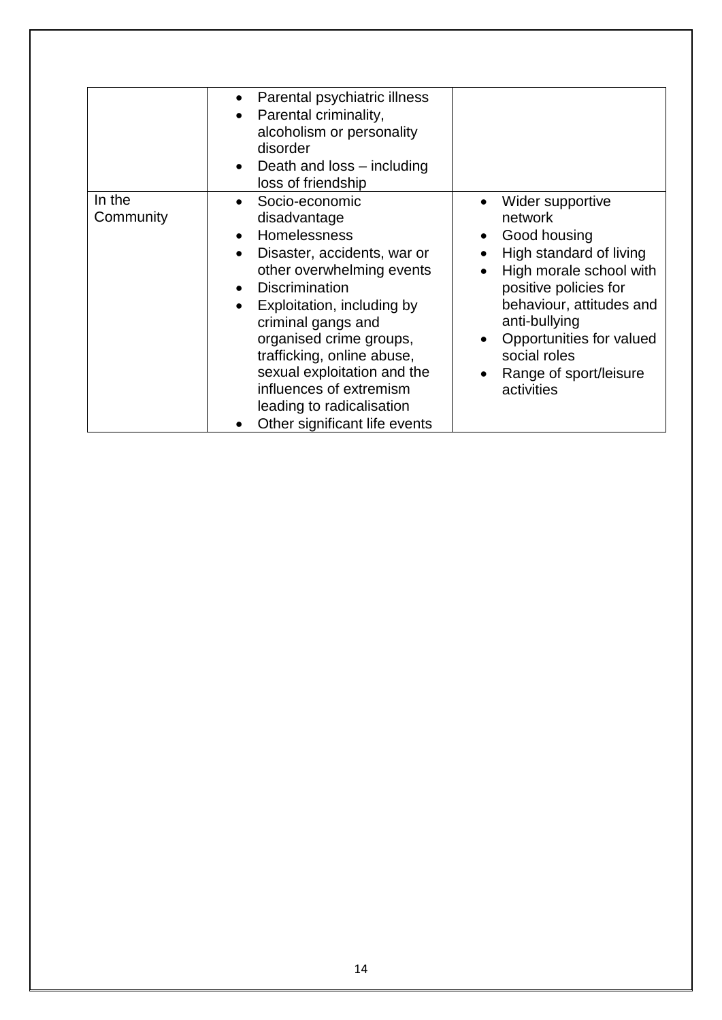|                     | Parental psychiatric illness<br>Parental criminality,<br>$\bullet$<br>alcoholism or personality<br>disorder<br>Death and loss – including<br>$\bullet$<br>loss of friendship                                                                                                                                                                                                                                                 |                                                                                                                                                                                                                                                             |
|---------------------|------------------------------------------------------------------------------------------------------------------------------------------------------------------------------------------------------------------------------------------------------------------------------------------------------------------------------------------------------------------------------------------------------------------------------|-------------------------------------------------------------------------------------------------------------------------------------------------------------------------------------------------------------------------------------------------------------|
| In the<br>Community | Socio-economic<br>$\bullet$<br>disadvantage<br>Homelessness<br>$\bullet$<br>Disaster, accidents, war or<br>other overwhelming events<br><b>Discrimination</b><br>$\bullet$<br>Exploitation, including by<br>$\bullet$<br>criminal gangs and<br>organised crime groups,<br>trafficking, online abuse,<br>sexual exploitation and the<br>influences of extremism<br>leading to radicalisation<br>Other significant life events | Wider supportive<br>network<br>Good housing<br>High standard of living<br>High morale school with<br>positive policies for<br>behaviour, attitudes and<br>anti-bullying<br>Opportunities for valued<br>social roles<br>Range of sport/leisure<br>activities |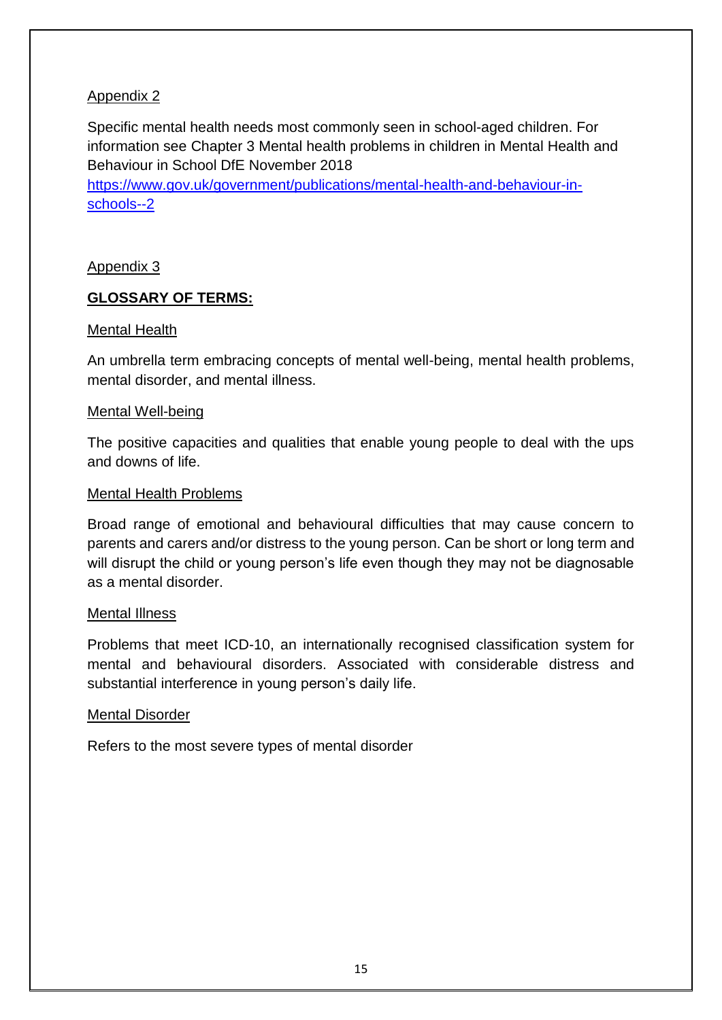## Appendix 2

Specific mental health needs most commonly seen in school-aged children. For information see Chapter 3 Mental health problems in children in Mental Health and Behaviour in School DfE November 2018

[https://www.gov.uk/government/publications/mental-health-and-behaviour-in](https://www.gov.uk/government/publications/mental-health-and-behaviour-in-schools--2)[schools--2](https://www.gov.uk/government/publications/mental-health-and-behaviour-in-schools--2)

### Appendix 3

### **GLOSSARY OF TERMS:**

#### Mental Health

An umbrella term embracing concepts of mental well-being, mental health problems, mental disorder, and mental illness.

#### Mental Well-being

The positive capacities and qualities that enable young people to deal with the ups and downs of life.

#### Mental Health Problems

Broad range of emotional and behavioural difficulties that may cause concern to parents and carers and/or distress to the young person. Can be short or long term and will disrupt the child or young person's life even though they may not be diagnosable as a mental disorder.

#### Mental Illness

Problems that meet ICD-10, an internationally recognised classification system for mental and behavioural disorders. Associated with considerable distress and substantial interference in young person's daily life.

#### Mental Disorder

Refers to the most severe types of mental disorder